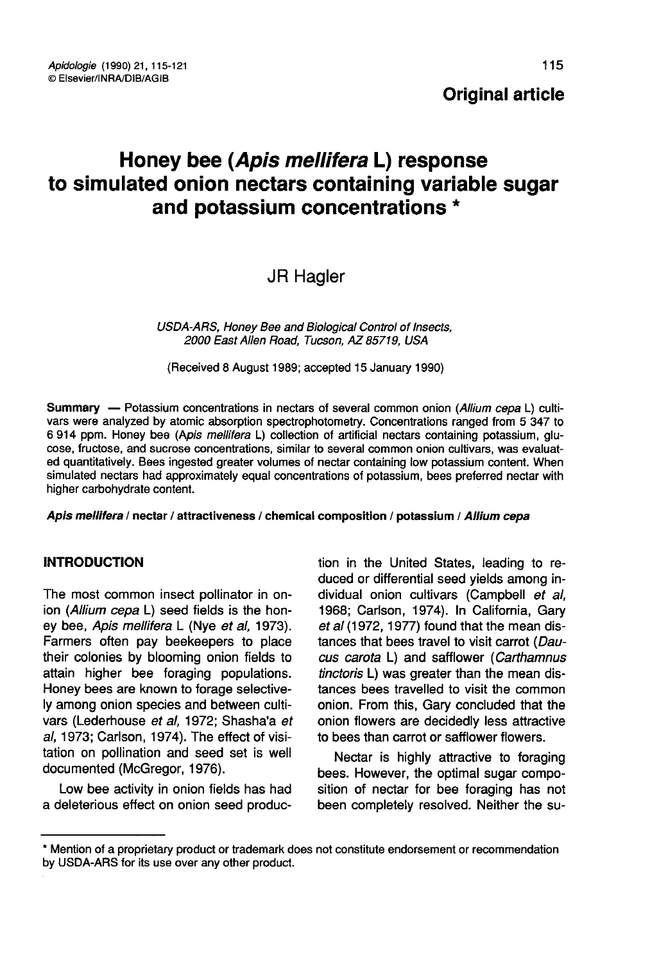# Honey bee (Apis mellifera L) response to simulated onion nectars containing variable sugar and potassium concentrations \*

JR Hagler

USDA-ARS, Honey Bee and Biological Control of Insects, 2000 East Allen Road, Tucson, AZ 85719, USA

(Received 8 August 1989; accepted 15 January 1990)

Summary — Potassium concentrations in nectars of several common onion (Allium cepa L) cultivars were analyzed by atomic absorption spectrophotometry. Concentrations ranged from 5 347 to 6 914 ppm. Honey bee (Apis mellifera L) collection of artificial nectars containing potassium, glucose, fructose, and sucrose concentrations, similar to several common onion cultivars, was evaluated quantitatively. Bees ingested greater volumes of nectar containing low potassium content. When simulated nectars had approximately equal concentrations of potassium, bees preferred nectar with higher carbohydrate content.

Apis mellifera / nectar / attractiveness / chemical composition / potassium / Allium cepa

## INTRODUCTION

The most common insect pollinator in onion (Allium cepa L) seed fields is the honey bee, Apis mellifera L (Nye et al. 1973). Farmers often pay beekeepers to place their colonies by blooming onion fields to attain higher bee foraging populations. Honey bees are known to forage selectively among onion species and between cultivars (Lederhouse et al, 1972; Shasha'a et al, 1973; Carlson, 1974). The effect of visitation on pollination and seed set is well documented (McGregor, 1976).

Low bee activity in onion fields has had a deleterious effect on onion seed produc-

tion in the United States, leading to reduced or differential seed yields among individual onion cultivars (Campbell et al. 1968; Carlson, 1974). In California, Gary et al (1972, 1977) found that the mean distances that bees travel to visit carrot (Daucus carota L) and safflower (Carthamnus tinctoris L) was greater than the mean distances bees travelled to visit the common onion. From this, Gary concluded that the onion flowers are decidedly less attractive to bees than carrot or safflower flowers.

Nectar is highly attractive to foraging bees. However, the optimal sugar composition of nectar for bee foraging has not been completely resolved. Neither the su-

<sup>\*</sup> Mention of a proprietary product or trademark does not constitute endorsement or recommendation by USDA-ARS for its use over any other product.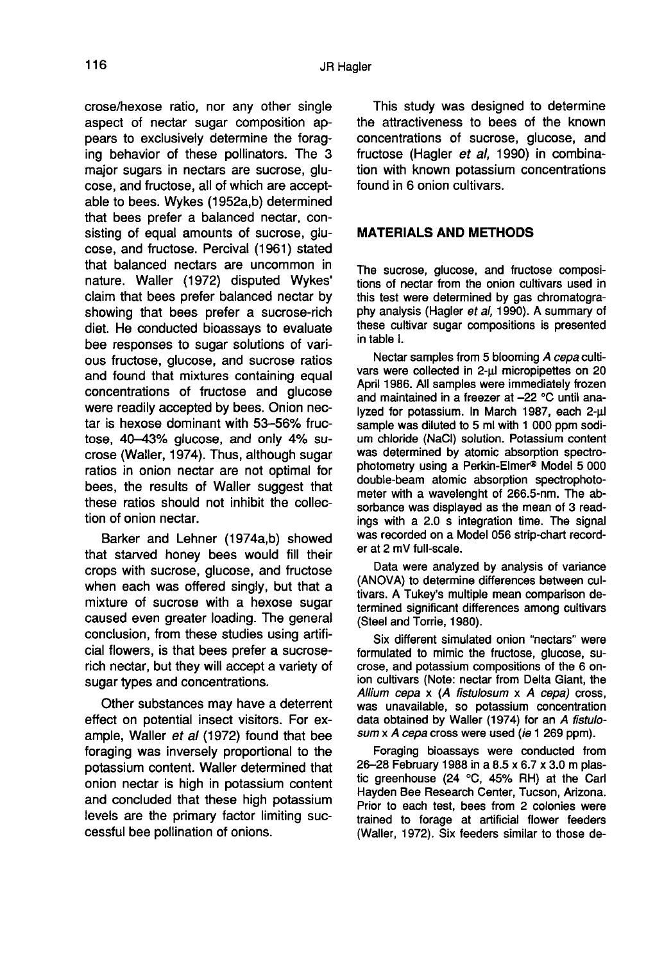crose/hexose ratio, nor any other single aspect of nectar sugar composition appears to exclusively determine the foraging behavior of these pollinators. The 3 major sugars in nectars are sucrose, glucose, and fructose, all of which are acceptable to bees. Wykes (1952a,b) determined that bees prefer a balanced nectar, consisting of equal amounts of sucrose, glucose, and fructose. Percival (1961) stated that balanced nectars are uncommon in nature. Waller (1972) disputed Wykes' claim that bees prefer balanced nectar by showing that bees prefer a sucrose-rich diet. He conducted bioassays to evaluate bee responses to sugar solutions of various fructose, glucose, and sucrose ratios and found that mixtures containing equal concentrations of fructose and glucose were readily accepted by bees. Onion nectar is hexose dominant with 53-56% fructose, 40-43% glucose, and only 4% sucrose (Waller, 1974). Thus, although sugar ratios in onion nectar are not optimal for bees, the results of Waller suggest that these ratios should not inhibit the collection of onion nectar.

Barker and Lehner (1974a,b) showed that starved honey bees would fill their crops with sucrose, glucose, and fructose when each was offered singly, but that a mixture of sucrose with a hexose sugar caused even greater loading. The general conclusion, from these studies using artificial flowers, is that bees prefer a sucroserich nectar, but they will accept a variety of sugar types and concentrations.

Other substances may have a deterrent effect on potential insect visitors. For example, Waller et al (1972) found that bee foraging was inversely proportional to the potassium content. Waller determined that onion nectar is high in potassium content and concluded that these high potassium levels are the primary factor limiting successful bee pollination of onions.

This study was designed to determine the attractiveness to bees of the known concentrations of sucrose, glucose, and fructose (Hagler et al, 1990) in combination with known potassium concentrations found in 6 onion cultivars.

# MATERIALS AND METHODS

The sucrose, glucose, and fructose compositions of nectar from the onion cultivars used in this test were determined by gas chromatography analysis (Hagler et al, 1990). A summary of these cultivar sugar compositions is presented in table I.

Nectar samples from 5 blooming A cepa cultivars were collected in 2-μl micropipettes on 20 April 1986. All samples were immediately frozen and maintained in a freezer at -22 °C until analyzed for potassium. In March 1987, each 2-μl sample was diluted to 5 ml with 1 000 ppm sodium chloride (NaCl) solution. Potassium content was determined by atomic absorption spectrophotometry using a Perkin-Elmer® Model 5 000 double-beam atomic absorption spectrophoto meter with a wavelenght of 266.5-nm. The absorbance was displayed as the mean of 3 readings with a 2.0 s integration time. The signal was recorded on a Model 056 strip-chart recorder at 2 mV full-scale.

Data were analyzed by analysis of variance (ANOVA) to determine differences between cultivars. A Tukey's multiple mean comparison determined significant differences among cultivars (Steel and Torrie, 1980).

Six different simulated onion "nectars" were formulated to mimic the fructose, glucose, sucrose, and potassium compositions of the 6 onion cultivars (Note: nectar from Delta Giant, the Allium cepa  $x$  (A fistulosum  $x$  A cepa) cross, was unavailable, so potassium concentration data obtained by Waller (1974) for an A fistulosum x A cepa cross were used (ie 1 269 ppm).

Foraging bioassays were conducted from 26-28 February 1988 in a 8.5 x 6.7 x 3.0 m plastic greenhouse (24 °C, 45% RH) at the Carl Hayden Bee Research Center, Tucson, Arizona. Prior to each test, bees from 2 colonies were trained to forage at artificial flower feeders (Waller, 1972). Six feeders similar to those de-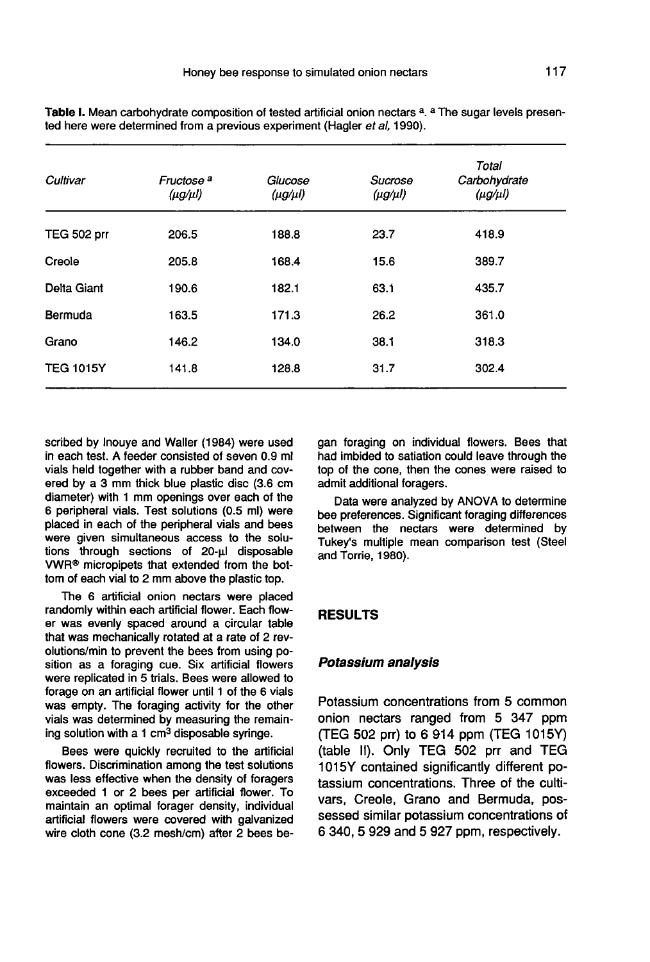| Cultivar           | Fructose <sup>a</sup><br>$(\mu g/\mu l)$ | Glucose<br>$(\mu g/\mu l)$ | Sucrose<br>$(\mu g/\mu l)$ | Total<br>Carbohydrate<br>$(\mu g/\mu l)$ |
|--------------------|------------------------------------------|----------------------------|----------------------------|------------------------------------------|
| <b>TEG 502 prr</b> | 206.5                                    | 188.8                      | 23.7                       | 418.9                                    |
| Creole             | 205.8                                    | 168.4                      | 15.6                       | 389.7                                    |
| Delta Giant        | 190.6                                    | 182.1                      | 63.1                       | 435.7                                    |
| Bermuda            | 163.5                                    | 171.3                      | 26.2                       | 361.0                                    |
| Grano              | 146.2                                    | 134.0                      | 38.1                       | 318.3                                    |
| <b>TEG 1015Y</b>   | 141.8                                    | 128.8                      | 31.7                       | 302.4                                    |

Table I. Mean carbohydrate composition of tested artificial onion nectars a. a The sugar levels presented here were determined from a previous experiment (Hagler et al, 1990).

scribed by Inouye and Waller (1984) were used in each test. A feeder consisted of seven 0.9 ml vials held together with a rubber band and covered by a 3 mm thick blue plastic disc (3.6 cm diameter) with 1 mm openings over each of the 6 peripheral vials. Test solutions (0.5 ml) were placed in each of the peripheral vials and bees were given simultaneous access to the solutions through sections of 20-μl disposable VWR® micropipets that extended from the bottom of each vial to 2 mm above the plastic top.

The 6 artificial onion nectars were placed randomly within each artificial flower. Each flower was evenly spaced around a circular table that was mechanically rotated at a rate of 2 revolutions/min to prevent the bees from using position as a foraging cue. Six artificial flowers were replicated in 5 trials. Bees were allowed to forage on an artificial flower until 1 of the 6 vials was empty. The foraging activity for the other vials was determined by measuring the remain-<br>ing solution with a 1 cm<sup>3</sup> disposable syringe.

Bees were quickly recruited to the artificial flowers. Discrimination among the test solutions was less effective when the density of foragers exceeded 1 or 2 bees per artificial flower. To maintain an optimal forager density, individual artificial flowers were covered with galvanized wire cloth cone (3.2 mesh/cm) after 2 bees began foraging on individual flowers. Bees that had imbided to satiation could leave through the top of the cone, then the cones were raised to admit additional foragers.

Data were analyzed by ANOVA to determine bee preferences. Significant foraging differences between the nectars were determined by Tukey's multiple mean comparison test (Steel and Torrie, 1980).

## RESULTS

#### Potassium analysis

Potassium concentrations from 5 common onion nectars ranged from 5 347 ppm (TEG 502 prr) to 6 914 ppm (TEG 1015Y) (table II). Only TEG 502 prr and TEG 1015Y contained significantly different potassium concentrations. Three of the cultivars, Creole, Grano and Bermuda, possessed similar potassium concentrations of 6 340, 5 929 and 5 927 ppm, respectively.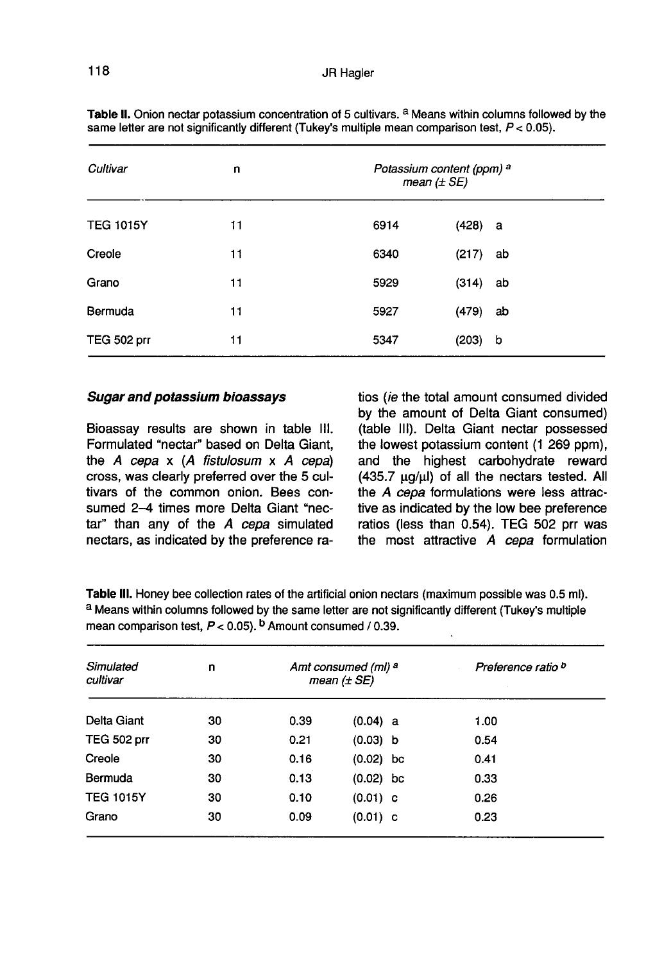| Cultivar         | n  | Potassium content (ppm) a<br>mean $(\pm SE)$ |           |    |  |
|------------------|----|----------------------------------------------|-----------|----|--|
| <b>TEG 1015Y</b> | 11 | 6914                                         | $(428)$ a |    |  |
| Creole           | 11 | 6340                                         | (217)     | ab |  |
| Grano            | 11 | 5929                                         | (314)     | ab |  |
| Bermuda          | 11 | 5927                                         | (479)     | ab |  |
| TEG 502 prr      | 11 | 5347                                         | (203)     | b  |  |

Table II. Onion nectar potassium concentration of 5 cultivars. <sup>a</sup> Means within columns followed by the same letter are not significantly different (Tukey's multiple mean comparison test,  $P < 0.05$ ).

#### Sugar and potassium bioassays

Bioassay results are shown in table III. Formulated "nectar" based on Delta Giant, the  $A$  cepa  $x$  (A fistulosum  $x$  A cepa) cross, was clearly preferred over the 5 cultivars of the common onion. Bees consumed 2-4 times more Delta Giant "nectar" than any of the A cepa simulated nectars, as indicated by the preference ratios (ie the total amount consumed divided by the amount of Delta Giant consumed) (table III). Delta Giant nectar possessed the lowest potassium content (1 269 ppm), and the highest carbohydrate reward (435.7 μg/μl) of all the nectars tested. All the A cepa formulations were less attractive as indicated by the low bee preference ratios (less than 0.54). TEG 502 prr was the most attractive A cepa formulation

Table III. Honey bee collection rates of the artificial onion nectars (maximum possible was 0.5 ml). a Means within columns followed by the same letter are not significantly different (Tukey's multiple mean comparison test,  $P < 0.05$ ). <sup>b</sup> Amount consumed / 0.39.

| Simulated<br>cultivar | n  | Amt consumed (ml) a<br>mean $(\pm SE)$ |             | Preference ratio b |
|-----------------------|----|----------------------------------------|-------------|--------------------|
| Delta Giant           | 30 | 0.39                                   | (0.04) a    | 1.00               |
| <b>TEG 502 prr</b>    | 30 | 0.21                                   | (0.03) b    | 0.54               |
| Creole                | 30 | 0.16                                   | $(0.02)$ bc | 0.41               |
| Bermuda               | 30 | 0.13                                   | $(0.02)$ bc | 0.33               |
| <b>TEG 1015Y</b>      | 30 | 0.10                                   | $(0.01)$ c  | 0.26               |
| Grano                 | 30 | 0.09                                   | $(0.01)$ c  | 0.23               |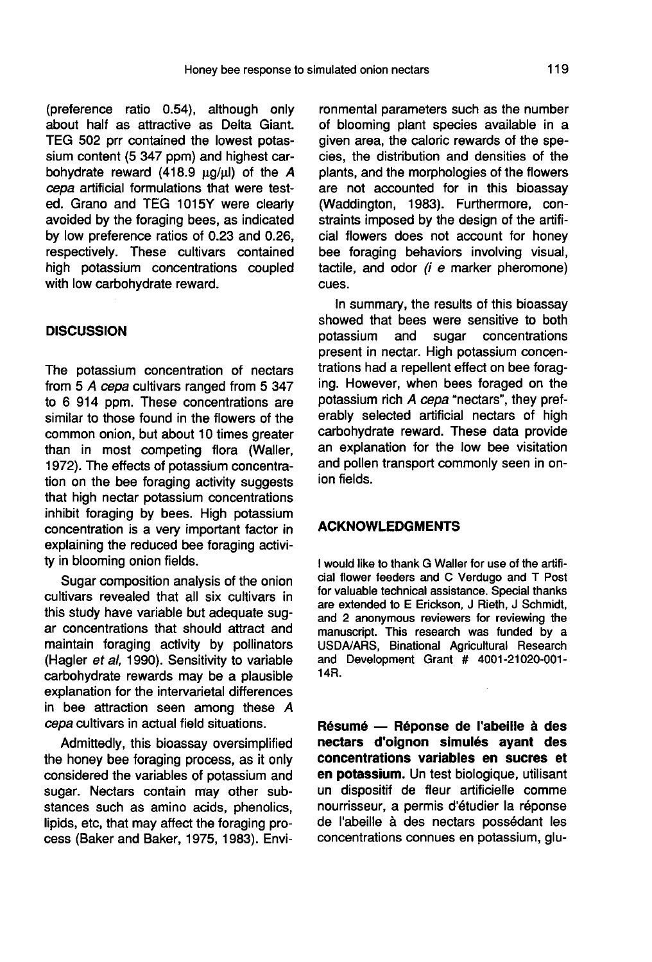(preference ratio 0.54), although only about half as attractive as Delta Giant. TEG 502 prr contained the lowest potassium content (5 347 ppm) and highest carbohydrate reward (418.9 μg/μl) of the A cepa artificial formulations that were tested. Grano and TEG 1015Y were clearly avoided by the foraging bees, as indicated by low preference ratios of 0.23 and 0.26, respectively. These cultivars contained high potassium concentrations coupled with low carbohydrate reward.

#### **DISCUSSION**

The potassium concentration of nectars from 5 A cepa cultivars ranged from 5 347 to 6 914 ppm. These concentrations are similar to those found in the flowers of the common onion, but about 10 times greater than in most competing flora (Waller, 1972). The effects of potassium concentration on the bee foraging activity suggests that high nectar potassium concentrations inhibit foraging by bees. High potassium concentration is a very important factor in explaining the reduced bee foraging activity in blooming onion fields.

Sugar composition analysis of the onion cultivars revealed that all six cultivars in this study have variable but adequate sugar concentrations that should attract and maintain foraging activity by pollinators (Hagler et al, 1990). Sensitivity to variable carbohydrate rewards may be a plausible explanation for the intervarietal differences in bee attraction seen among these A cepa cultivars in actual field situations.

Admittedly, this bioassay oversimplified the honey bee foraging process, as it only considered the variables of potassium and sugar. Nectars contain may other substances such as amino acids, phenolics, lipids, etc, that may affect the foraging process (Baker and Baker, 1975, 1983). Envi-

ronmental parameters such as the number of blooming plant species available in a given area, the caloric rewards of the species, the distribution and densities of the plants, and the morphologies of the flowers are not accounted for in this bioassay (Waddington, 1983). Furthermore, constraints imposed by the design of the artificial flowers does not account for honey bee foraging behaviors involving visual, tactile, and odor (i e marker pheromone) cues.

In summary, the results of this bioassay showed that bees were sensitive to both potassium and sugar concentrations present in nectar. High potassium concentrations had a repellent effect on bee foraging. However, when bees foraged on the potassium rich A cepa "nectars", they preferably selected artificial nectars of high carbohydrate reward. These data provide an explanation for the low bee visitation and pollen transport commonly seen in onion fields.

## ACKNOWLEDGMENTS

I would like to thank G Waller for use of the artificial flower feeders and C Verdugo and T Post for valuable technical assistance. Special thanks are extended to E Erickson, J Rieth, J Schmidt, and 2 anonymous reviewers for reviewing the manuscript. This research was funded by a USDA/ARS, Binational Agricultural Research and Development Grant # 4001-21020-001- 14R.

Résumé — Réponse de l'abeille à des nectars d'oignon simulés ayant des concentrations variables en sucres et en potassium. Un test biologique, utilisant un dispositif de fleur artificielle comme nourrisseur, a permis d'étudier la réponse de l'abeille à des nectars possédant les concentrations connues en potassium, glu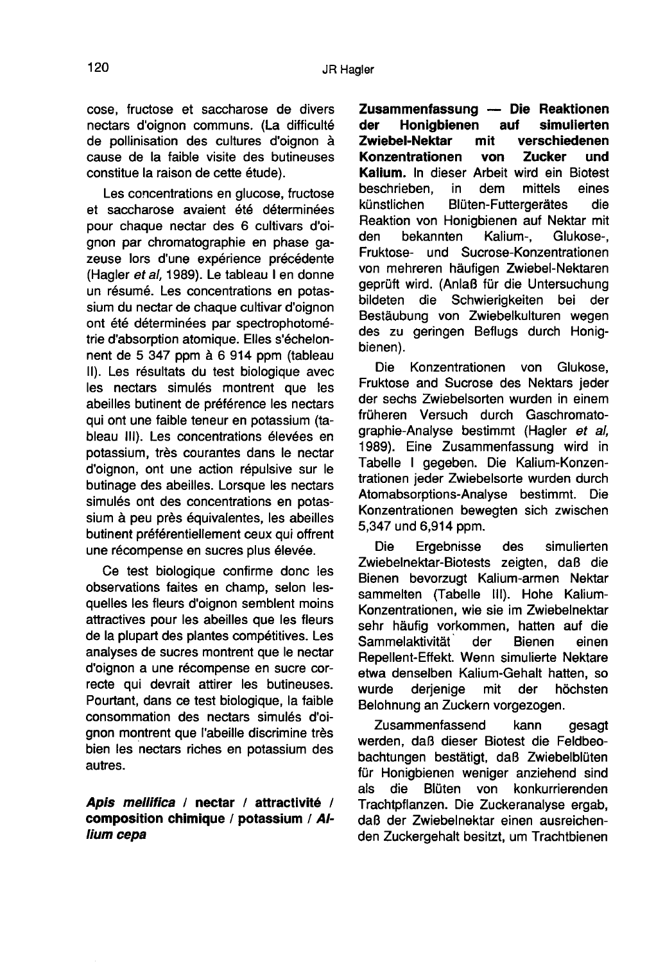cose, fructose et saccharose de divers nectars d'oignon communs. (La difficulté de pollinisation des cultures d'oignon à cause de la faible visite des butineuses constitue la raison de cette étude).

Les concentrations en glucose, fructose et saccharose avaient été déterminées pour chaque nectar des 6 cultivars d'oignon par chromatographie en phase gazeuse lors d'une expérience précédente (Hagler et al, 1989). Le tableau I en donne un résumé. Les concentrations en potassium du nectar de chaque cultivar d'oignon ont été déterminées par spectrophotométrie d'absorption atomique. Elles s'échelonnent de 5 347 ppm à 6 914 ppm (tableau II). Les résultats du test biologique avec les nectars simulés montrent que les abeilles butinent de préférence les nectars qui ont une faible teneur en potassium (tableau III). Les concentrations élevées en potassium, très courantes dans le nectar d'oignon, ont une action répulsive sur le butinage des abeilles. Lorsque les nectars simulés ont des concentrations en potassium à peu près équivalentes, les abeilles butinent préférentiellement ceux qui offrent une récompense en sucres plus élevée.

Ce test biologique confirme donc les observations faites en champ, selon lesquelles les fleurs d'oignon semblent moins attractives pour les abeilles que les fleurs de la plupart des plantes compétitives. Les analyses de sucres montrent que le nectar d'oignon a une récompense en sucre correcte qui devrait attirer les butineuses. Pourtant, dans ce test biologique, la faible consommation des nectars simulés d'oignon montrent que l'abeille discrimine très bien les nectars riches en potassium des autres.

Apis mellifica / nectar / attractivité / composition chimique / potassium / Allium cepa

Zusammenfassung — Die Reaktionen Honigbienen auf simulierten<br>el-Nektar mit verschiedenen Zwiebel-Nektar Konzentrationen von Zucker und Kalium. In dieser Arbeit wird ein Biotest beschrieben, in dem mittels eines<br>künstlichen Blüten-Futtergerätes die Blüten-Futtergerätes die Reaktion von Honigbienen auf Nektar mit<br>den bekannten Kalium-. Glukose-. Glukose-, Fruktose- und Sucrose-Konzentrationen von mehreren häufigen Zwiebel-Nektaren geprüft wird. (Anlaß für die Untersuchung<br>bildeten die Schwierigkeiten bei der bildeten die Schwierigkeiten bei Bestäubung von Zwiebelkulturen wegen des zu geringen Beflugs durch Honigbienen).

Die Konzentrationen von Glukose, Fruktose and Sucrose des Nektars jeder der sechs Zwiebelsorten wurden in einem früheren Versuch durch Gaschromatographie-Analyse bestimmt (Hagler et al, 1989). Eine Zusammenfassung wird in Tabelle I gegeben. Die Kalium-Konzentrationen jeder Zwiebelsorte wurden durch Atomabsorptions-Analyse bestimmt. Die Konzentrationen bewegten sich zwischen 5,347 und 6,914 ppm.

Die Ergebnisse des simulierten Zwiebelnektar-Biotests zeigten, daß die Bienen bevorzugt Kalium-armen Nektar sammelten (Tabelle III). Hohe Kalium-Konzentrationen, wie sie im Zwiebelnektar sehr häufig vorkommen, hatten auf die<br>Sammelaktivität der Bienen einen Sammelaktivität Repellent-Effekt. Wenn simulierte Nektare etwa denselben Kalium-Gehalt hatten, so wurde derjenige mit der höchsten Belohnung an Zuckern vorgezogen.

Zusammenfassend kann gesagt werden, daß dieser Biotest die Feldbeobachtungen bestätigt, daß Zwiebelblüten für Honigbienen weniger anziehend sind<br>als die Blüten von konkurrierenden von konkurrierenden Trachtpflanzen. Die Zuckeranalyse ergab, daß der Zwiebelnektar einen ausreichenden Zuckergehalt besitzt, um Trachtbienen